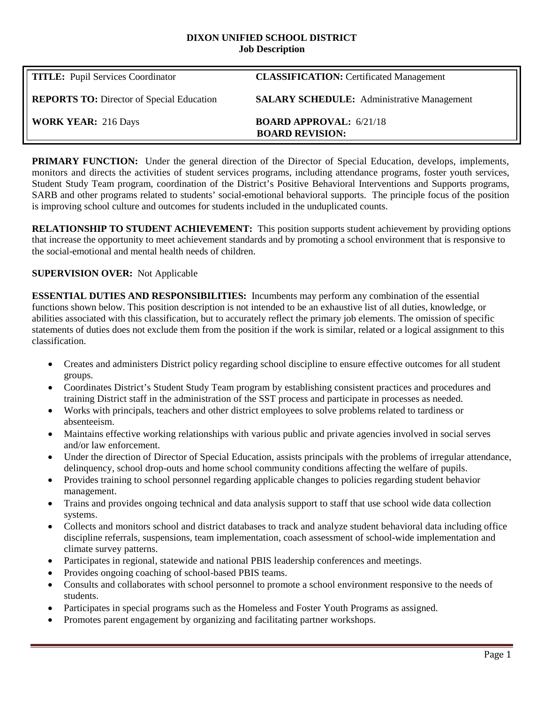#### **DIXON UNIFIED SCHOOL DISTRICT Job Description**

| <b>TITLE:</b> Pupil Services Coordinator         | <b>CLASSIFICATION:</b> Certificated Management           |
|--------------------------------------------------|----------------------------------------------------------|
| <b>REPORTS TO:</b> Director of Special Education | <b>SALARY SCHEDULE:</b> Administrative Management        |
| <b>WORK YEAR: 216 Days</b>                       | <b>BOARD APPROVAL: 6/21/18</b><br><b>BOARD REVISION:</b> |

**PRIMARY FUNCTION:** Under the general direction of the Director of Special Education, develops, implements, monitors and directs the activities of student services programs, including attendance programs, foster youth services, Student Study Team program, coordination of the District's Positive Behavioral Interventions and Supports programs, SARB and other programs related to students' social-emotional behavioral supports. The principle focus of the position is improving school culture and outcomes for students included in the unduplicated counts.

**RELATIONSHIP TO STUDENT ACHIEVEMENT:** This position supports student achievement by providing options that increase the opportunity to meet achievement standards and by promoting a school environment that is responsive to the social-emotional and mental health needs of children.

# **SUPERVISION OVER:** Not Applicable

**ESSENTIAL DUTIES AND RESPONSIBILITIES:** Incumbents may perform any combination of the essential functions shown below. This position description is not intended to be an exhaustive list of all duties, knowledge, or abilities associated with this classification, but to accurately reflect the primary job elements. The omission of specific statements of duties does not exclude them from the position if the work is similar, related or a logical assignment to this classification.

- Creates and administers District policy regarding school discipline to ensure effective outcomes for all student groups.
- Coordinates District's Student Study Team program by establishing consistent practices and procedures and training District staff in the administration of the SST process and participate in processes as needed.
- Works with principals, teachers and other district employees to solve problems related to tardiness or absenteeism.
- Maintains effective working relationships with various public and private agencies involved in social serves and/or law enforcement.
- Under the direction of Director of Special Education, assists principals with the problems of irregular attendance, delinquency, school drop-outs and home school community conditions affecting the welfare of pupils.
- Provides training to school personnel regarding applicable changes to policies regarding student behavior management.
- Trains and provides ongoing technical and data analysis support to staff that use school wide data collection systems.
- Collects and monitors school and district databases to track and analyze student behavioral data including office discipline referrals, suspensions, team implementation, coach assessment of school-wide implementation and climate survey patterns.
- Participates in regional, statewide and national PBIS leadership conferences and meetings.
- Provides ongoing coaching of school-based PBIS teams.
- Consults and collaborates with school personnel to promote a school environment responsive to the needs of students.
- Participates in special programs such as the Homeless and Foster Youth Programs as assigned.
- Promotes parent engagement by organizing and facilitating partner workshops.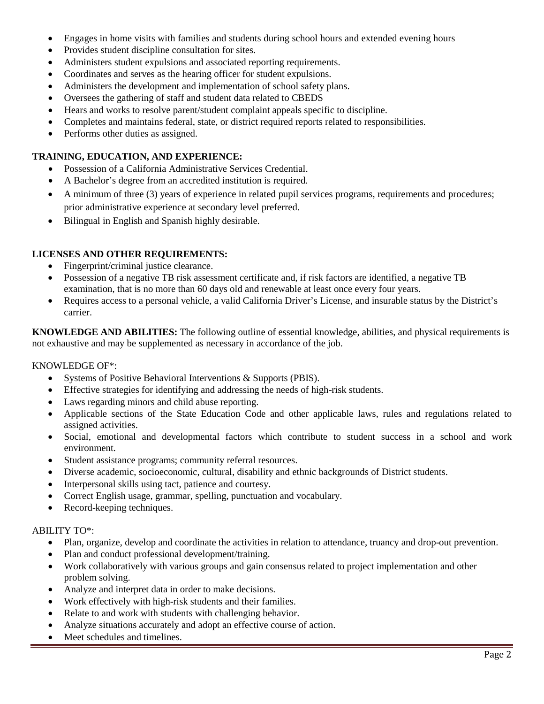- Engages in home visits with families and students during school hours and extended evening hours
- Provides student discipline consultation for sites.
- Administers student expulsions and associated reporting requirements.
- Coordinates and serves as the hearing officer for student expulsions.
- Administers the development and implementation of school safety plans.
- Oversees the gathering of staff and student data related to CBEDS
- Hears and works to resolve parent/student complaint appeals specific to discipline.
- Completes and maintains federal, state, or district required reports related to responsibilities.
- Performs other duties as assigned.

### **TRAINING, EDUCATION, AND EXPERIENCE:**

- Possession of a California Administrative Services Credential.
- A Bachelor's degree from an accredited institution is required.
- A minimum of three (3) years of experience in related pupil services programs, requirements and procedures; prior administrative experience at secondary level preferred.
- Bilingual in English and Spanish highly desirable.

# **LICENSES AND OTHER REQUIREMENTS:**

- Fingerprint/criminal justice clearance.
- Possession of a negative TB risk assessment certificate and, if risk factors are identified, a negative TB examination, that is no more than 60 days old and renewable at least once every four years.
- Requires access to a personal vehicle, a valid California Driver's License, and insurable status by the District's carrier.

**KNOWLEDGE AND ABILITIES:** The following outline of essential knowledge, abilities, and physical requirements is not exhaustive and may be supplemented as necessary in accordance of the job.

#### KNOWLEDGE OF\*:

- Systems of Positive Behavioral Interventions & Supports (PBIS).
- Effective strategies for identifying and addressing the needs of high-risk students.
- Laws regarding minors and child abuse reporting.
- Applicable sections of the State Education Code and other applicable laws, rules and regulations related to assigned activities.
- Social, emotional and developmental factors which contribute to student success in a school and work environment.
- Student assistance programs; community referral resources.
- Diverse academic, socioeconomic, cultural, disability and ethnic backgrounds of District students.
- Interpersonal skills using tact, patience and courtesy.
- Correct English usage, grammar, spelling, punctuation and vocabulary.
- Record-keeping techniques.

#### ABILITY TO\*:

- Plan, organize, develop and coordinate the activities in relation to attendance, truancy and drop-out prevention.
- Plan and conduct professional development/training.
- Work collaboratively with various groups and gain consensus related to project implementation and other problem solving.
- Analyze and interpret data in order to make decisions.
- Work effectively with high-risk students and their families.
- Relate to and work with students with challenging behavior.
- Analyze situations accurately and adopt an effective course of action.
- Meet schedules and timelines.